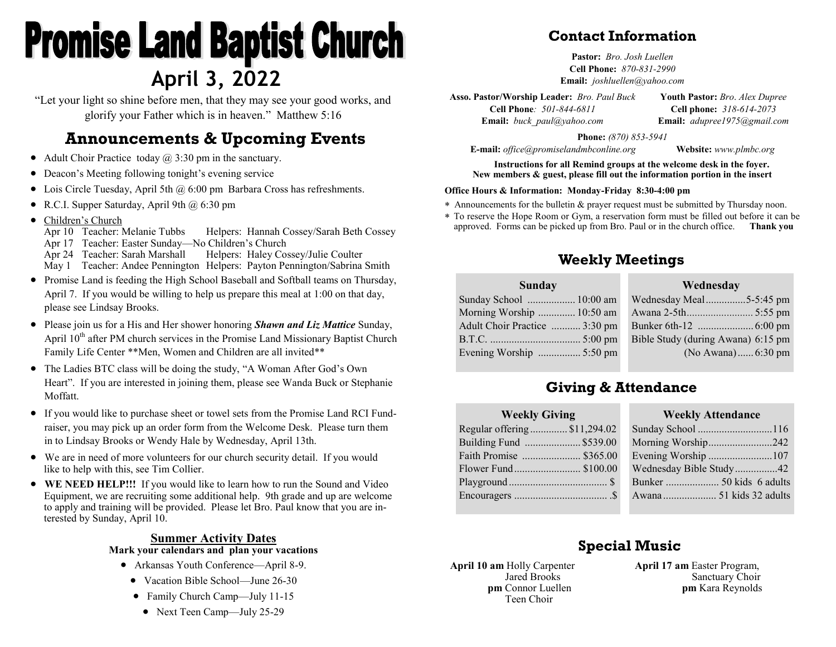# **Promise Land Baptist Church April 3, 2022**

"Let your light so shine before men, that they may see your good works, and glorify your Father which is in heaven." Matthew 5:16

# **Announcements & Upcoming Events**

- Adult Choir Practice today  $\omega$  3:30 pm in the sanctuary.
- Deacon's Meeting following tonight's evening service
- Lois Circle Tuesday, April 5th  $\omega$  6:00 pm Barbara Cross has refreshments.
- R.C.I. Supper Saturday, April 9th  $\omega$  6:30 pm
- Children's Church

Apr 10 Teacher: Melanie Tubbs Helpers: Hannah Cossey/Sarah Beth Cossey Apr 17 Teacher: Easter Sunday—No Children's Church Apr 24 Teacher: Sarah Marshall Helpers: Haley Cossey/Julie Coulter

May 1 Teacher: Andee Pennington Helpers: Payton Pennington/Sabrina Smith

- Promise Land is feeding the High School Baseball and Softball teams on Thursday, April 7. If you would be willing to help us prepare this meal at 1:00 on that day, please see Lindsay Brooks.
- Please join us for a His and Her shower honoring *Shawn and Liz Mattice* Sunday, April  $10<sup>th</sup>$  after PM church services in the Promise Land Missionary Baptist Church Family Life Center \*\*Men, Women and Children are all invited\*\*
- The Ladies BTC class will be doing the study, "A Woman After God's Own Heart". If you are interested in joining them, please see Wanda Buck or Stephanie Moffatt.
- If you would like to purchase sheet or towel sets from the Promise Land RCI Fundraiser, you may pick up an order form from the Welcome Desk. Please turn them in to Lindsay Brooks or Wendy Hale by Wednesday, April 13th.
- We are in need of more volunteers for our church security detail. If you would like to help with this, see Tim Collier.
- **WE NEED HELP!!!** If you would like to learn how to run the Sound and Video Equipment, we are recruiting some additional help. 9th grade and up are welcome to apply and training will be provided. Please let Bro. Paul know that you are interested by Sunday, April 10.

#### **Summer Activity Dates Mark your calendars and plan your vacations**

- Arkansas Youth Conference—April 8-9.
	- Vacation Bible School—June 26-30
	- Family Church Camp—July 11-15
	- Next Teen Camp—July 25-29

### **Contact Information**

**Pastor:** *Bro. Josh Luellen* **Cell Phone:** *870-831-2990* **Email:** *joshluellen@yahoo.com* 

**Asso. Pastor/Worship Leader:** *Bro. Paul Buck* **Cell Phone***: 501-844-6811* **Youth Pastor:** *Bro*. *Alex Dupree* **Cell phone:** *318-614-2073*

**Email:** *buck\_paul@yahoo.com*

**Email:** *adupree1975@gmail.com*

**Phone:** *(870) 853-5941*

**E-mail:** *office@promiselandmbconline.org* **Website:** *www.plmbc.org*

**Instructions for all Remind groups at the welcome desk in the foyer. New members & guest, please fill out the information portion in the insert**

#### **Office Hours & Information: Monday-Friday 8:30-4:00 pm**

- Announcements for the bulletin & prayer request must be submitted by Thursday noon.
- To reserve the Hope Room or Gym, a reservation form must be filled out before it can be approved. Forms can be picked up from Bro. Paul or in the church office. **Thank you**

#### **Weekly Meetings**

| Wed               |
|-------------------|
| Wednesday Meal    |
| Awana 2-5th       |
| Bunker 6th-12     |
| Bible Study (duri |
| (No.              |
|                   |

| Wednesday                          |  |
|------------------------------------|--|
| Wednesday Meal5-5:45 pm            |  |
|                                    |  |
|                                    |  |
| Bible Study (during Awana) 6:15 pm |  |
| (No Awana) 6:30 pm                 |  |
|                                    |  |

#### **Giving & Attendance**

| <b>Weekly Giving</b>        |        |
|-----------------------------|--------|
| Regular offering\$11,294.02 | Sunday |
| Building Fund  \$539.00     | Mornir |
| Faith Promise  \$365.00     | Evenin |
| Flower Fund \$100.00        | Wedne  |
|                             | Bunker |
|                             | Awana  |
|                             |        |

| <b>Weekly Attendance</b> |  |
|--------------------------|--|
| Sunday School 116        |  |
| Morning Worship242       |  |
| Evening Worship 107      |  |
| Wednesday Bible Study42  |  |
| Bunker  50 kids 6 adults |  |
| Awana  51 kids 32 adults |  |

## **Special Music**

**April 10 am** Holly Carpenter Jared Brooks **pm** Connor Luellen Teen Choir

**April 17 am** Easter Program, Sanctuary Choir **pm** Kara Reynolds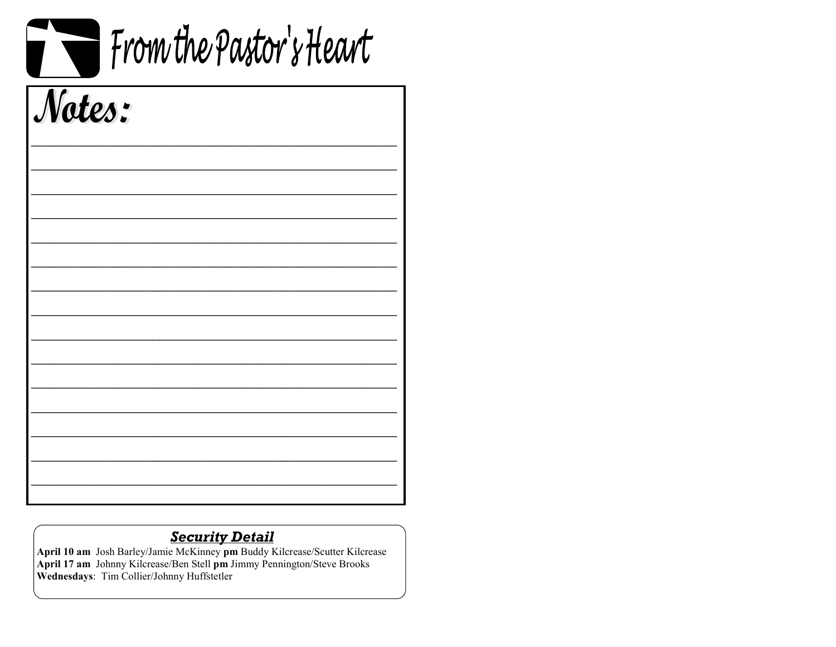|        | From the Pastor's Heart |
|--------|-------------------------|
| Notes: |                         |
|        |                         |
|        |                         |
|        |                         |
|        |                         |
|        |                         |
|        |                         |

**Security Detail**<br>April 10 am Josh Barley/Jamie McKinney pm Buddy Kilcrease/Scutter Kilcrease<br>April 17 am Johnny Kilcrease/Ben Stell pm Jimmy Pennington/Steve Brooks<br>Wednesdays: Tim Collier/Johnny Huffstetler